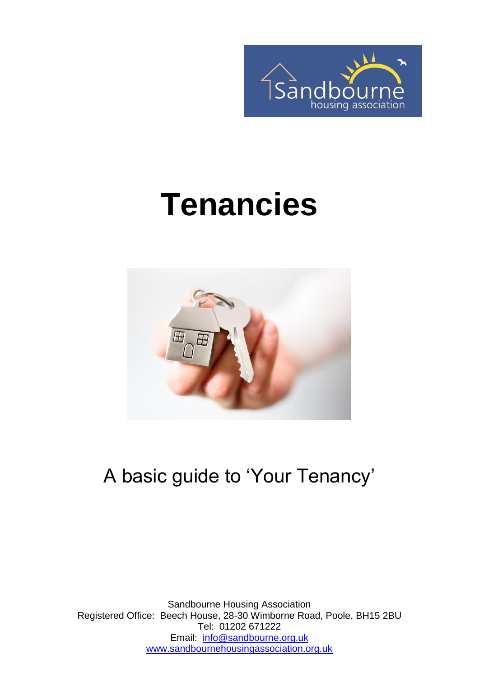

# **Tenancies**



#### A basic guide to 'Your Tenancy'

Sandbourne Housing Association Registered Office: Beech House, 28-30 Wimborne Road, Poole, BH15 2BU Tel: 01202 671222 Email: [info@sandbourne.org.uk](mailto:info@sandbourne.org.uk) [www.sandbournehousingassociation.org.uk](http://www.sandbournehousingassociation.org.uk/)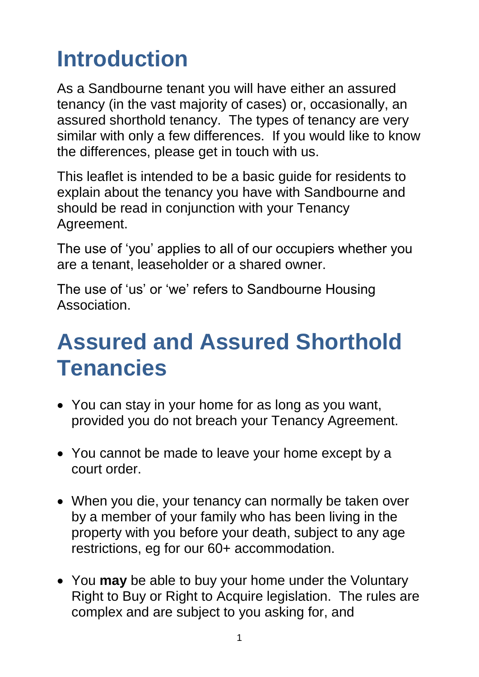## **Introduction**

As a Sandbourne tenant you will have either an assured tenancy (in the vast majority of cases) or, occasionally, an assured shorthold tenancy. The types of tenancy are very similar with only a few differences. If you would like to know the differences, please get in touch with us.

This leaflet is intended to be a basic guide for residents to explain about the tenancy you have with Sandbourne and should be read in conjunction with your Tenancy Agreement.

The use of 'you' applies to all of our occupiers whether you are a tenant, leaseholder or a shared owner.

The use of 'us' or 'we' refers to Sandbourne Housing Association.

#### **Assured and Assured Shorthold Tenancies**

- You can stay in your home for as long as you want, provided you do not breach your Tenancy Agreement.
- You cannot be made to leave your home except by a court order.
- When you die, your tenancy can normally be taken over by a member of your family who has been living in the property with you before your death, subject to any age restrictions, eg for our 60+ accommodation.
- You **may** be able to buy your home under the Voluntary Right to Buy or Right to Acquire legislation. The rules are complex and are subject to you asking for, and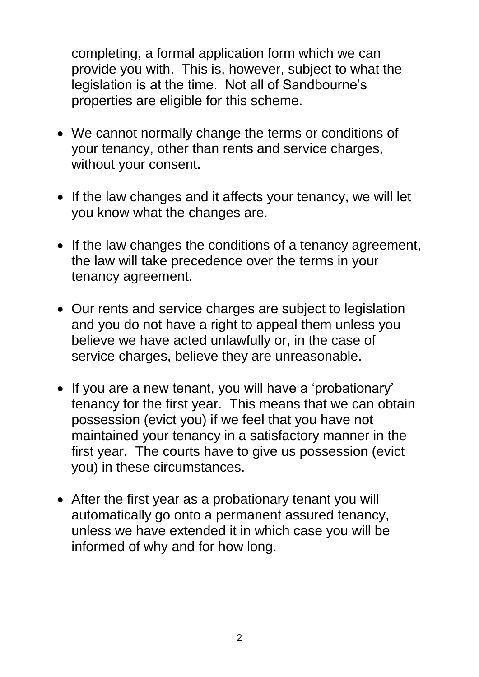completing, a formal application form which we can provide you with. This is, however, subject to what the legislation is at the time. Not all of Sandbourne's properties are eligible for this scheme.

- We cannot normally change the terms or conditions of your tenancy, other than rents and service charges, without your consent.
- If the law changes and it affects your tenancy, we will let you know what the changes are.
- If the law changes the conditions of a tenancy agreement, the law will take precedence over the terms in your tenancy agreement.
- Our rents and service charges are subject to legislation and you do not have a right to appeal them unless you believe we have acted unlawfully or, in the case of service charges, believe they are unreasonable.
- If you are a new tenant, you will have a 'probationary' tenancy for the first year. This means that we can obtain possession (evict you) if we feel that you have not maintained your tenancy in a satisfactory manner in the first year. The courts have to give us possession (evict you) in these circumstances.
- After the first year as a probationary tenant you will automatically go onto a permanent assured tenancy, unless we have extended it in which case you will be informed of why and for how long.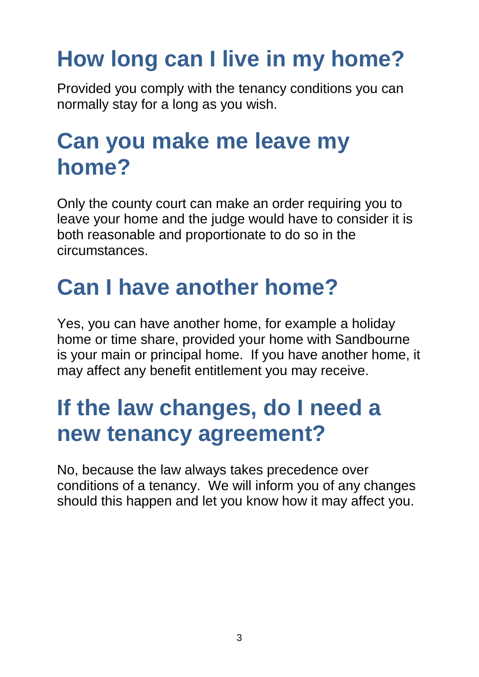## **How long can I live in my home?**

Provided you comply with the tenancy conditions you can normally stay for a long as you wish.

#### **Can you make me leave my home?**

Only the county court can make an order requiring you to leave your home and the judge would have to consider it is both reasonable and proportionate to do so in the circumstances.

## **Can I have another home?**

Yes, you can have another home, for example a holiday home or time share, provided your home with Sandbourne is your main or principal home. If you have another home, it may affect any benefit entitlement you may receive.

### **If the law changes, do I need a new tenancy agreement?**

No, because the law always takes precedence over conditions of a tenancy. We will inform you of any changes should this happen and let you know how it may affect you.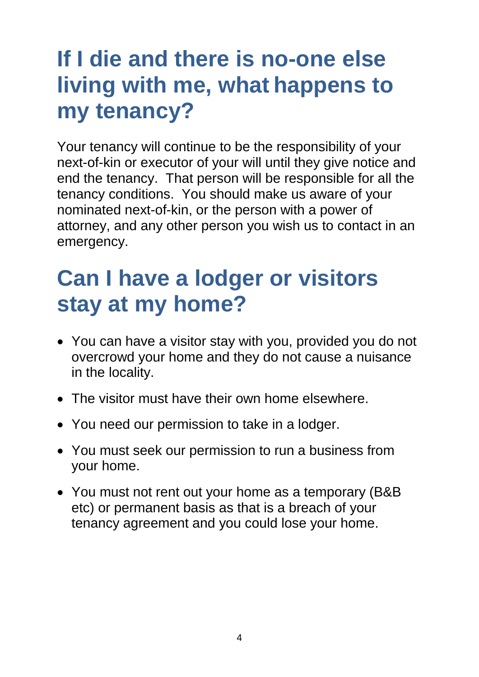## **If I die and there is no-one else living with me, what happens to my tenancy?**

Your tenancy will continue to be the responsibility of your next-of-kin or executor of your will until they give notice and end the tenancy. That person will be responsible for all the tenancy conditions. You should make us aware of your nominated next-of-kin, or the person with a power of attorney, and any other person you wish us to contact in an emergency.

### **Can I have a lodger or visitors stay at my home?**

- You can have a visitor stay with you, provided you do not overcrowd your home and they do not cause a nuisance in the locality.
- The visitor must have their own home elsewhere.
- You need our permission to take in a lodger.
- You must seek our permission to run a business from your home.
- You must not rent out your home as a temporary (B&B etc) or permanent basis as that is a breach of your tenancy agreement and you could lose your home.